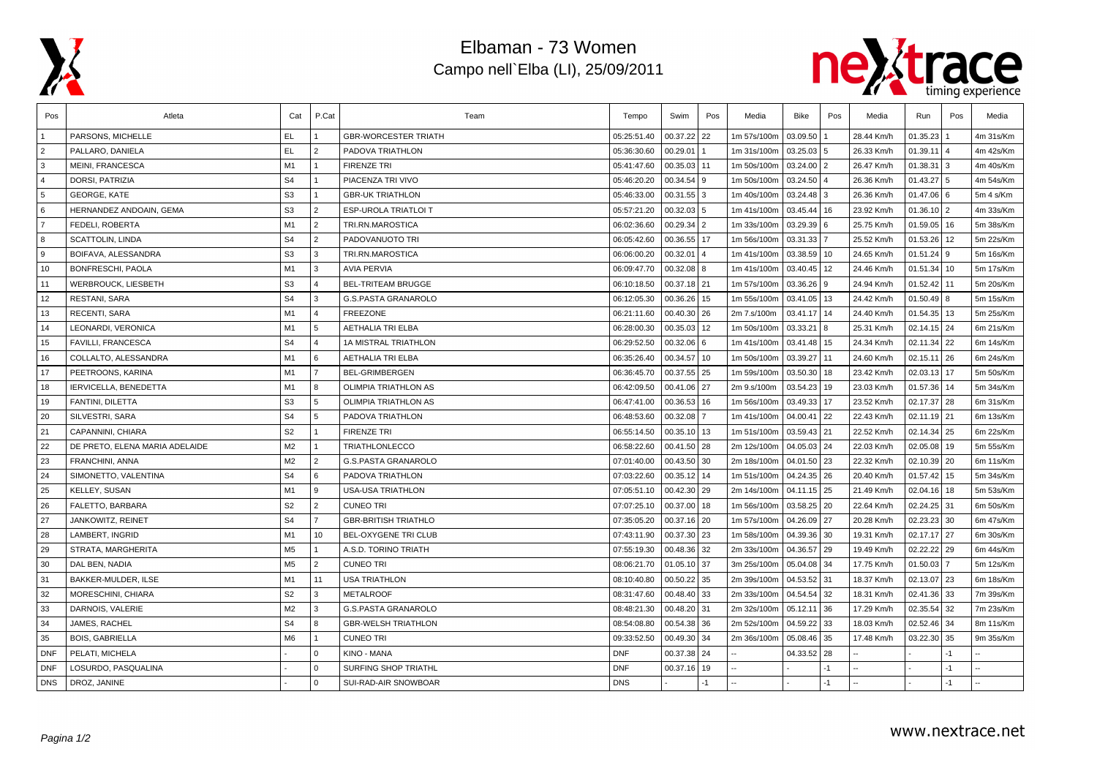

## Elbaman - 73 Women Campo nell`Elba (LI), 25/09/2011



| Pos            | Atleta                         | Cat            | P.Cat                   | Team                        | Tempo       | Swim          | Pos  | Media       | Bike         | Pos       | Media      | Run             | Pos | Media     |
|----------------|--------------------------------|----------------|-------------------------|-----------------------------|-------------|---------------|------|-------------|--------------|-----------|------------|-----------------|-----|-----------|
|                | PARSONS, MICHELLE              | EL.            |                         | <b>GBR-WORCESTER TRIATH</b> | 05:25:51.40 | 00.37.22      | 22   | 1m 57s/100m | 03.09.50     |           | 28.44 Km/h | 01.35.23        |     | 4m 31s/Km |
| $\overline{2}$ | PALLARO, DANIELA               | <b>EL</b>      | $\overline{2}$          | PADOVA TRIATHLON            | 05:36:30.60 | 00.29.01      |      | 1m 31s/100m | 03.25.03     | l 5       | 26.33 Km/h | 01.39.11        |     | 4m 42s/Km |
| 3              | <b>MEINI, FRANCESCA</b>        | M1             | $\mathbf{1}$            | <b>FIRENZE TRI</b>          | 05:41:47.60 | 00.35.03 11   |      | 1m 50s/100m | 03.24.00 2   |           | 26.47 Km/h | 01.38.31        | 3   | 4m 40s/Km |
| $\overline{4}$ | DORSI, PATRIZIA                | S <sub>4</sub> | $\mathbf{1}$            | PIACENZA TRI VIVO           | 05:46:20.20 | $00.34.54$ 9  |      | 1m 50s/100m | 03.24.50     | l 4       | 26.36 Km/h | 01.43.27        | 5   | 4m 54s/Km |
| 5              | <b>GEORGE, KATE</b>            | S <sub>3</sub> | $\mathbf{1}$            | <b>GBR-UK TRIATHLON</b>     | 05:46:33.00 | $00.31.55$ 3  |      | 1m 40s/100m | $03.24.48$ 3 |           | 26.36 Km/h | $01.47.06$ 6    |     | 5m 4 s/Km |
| 6              | HERNANDEZ ANDOAIN, GEMA        | S <sub>3</sub> | $\overline{2}$          | ESP-UROLA TRIATLOI T        | 05:57:21.20 | $00.32.03$ 5  |      | 1m 41s/100m | 03.45.44     | 16        | 23.92 Km/h | $01.36.10$   2  |     | 4m 33s/Km |
| $\overline{7}$ | FEDELI, ROBERTA                | M1             | 2                       | TRI.RN.MAROSTICA            | 06:02:36.60 | $00.29.34$ 2  |      | 1m 33s/100m | 03.29.39 6   |           | 25.75 Km/h | $01.59.05$ 16   |     | 5m 38s/Km |
| 8              | <b>SCATTOLIN, LINDA</b>        | S <sub>4</sub> | $\overline{2}$          | PADOVANUOTO TRI             | 06:05:42.60 | 00.36.55 17   |      | 1m 56s/100m | 03.31.33     |           | 25.52 Km/h | 01.53.26        | 12  | 5m 22s/Km |
| 9              | BOIFAVA, ALESSANDRA            | S <sub>3</sub> | 3                       | TRI.RN.MAROSTICA            | 06:06:00.20 | 00.32.01      |      | 1m 41s/100m | 03.38.59     | 10        | 24.65 Km/h | $01.51.24$ 9    |     | 5m 16s/Km |
| 10             | <b>BONFRESCHI, PAOLA</b>       | M <sub>1</sub> | 3                       | <b>AVIA PERVIA</b>          | 06:09:47.70 | 00.32.08      | 8    | 1m 41s/100m | 03.40.45     | 12        | 24.46 Km/h | 01.51.34        | 10  | 5m 17s/Km |
| 11             | WERBROUCK, LIESBETH            | S <sub>3</sub> | $\overline{4}$          | <b>BEL-TRITEAM BRUGGE</b>   | 06:10:18.50 | 00.37.18 21   |      | 1m 57s/100m | 03.36.26 9   |           | 24.94 Km/h | 01.52.42        | 11  | 5m 20s/Km |
| 12             | <b>RESTANI, SARA</b>           | S <sub>4</sub> | 3                       | <b>G.S.PASTA GRANAROLO</b>  | 06:12:05.30 | 00.36.26 15   |      | 1m 55s/100m | 03.41.05 13  |           | 24.42 Km/h | $01.50.49$ 8    |     | 5m 15s/Km |
| 13             | RECENTI, SARA                  | M1             | $\overline{4}$          | <b>FREEZONE</b>             | 06:21:11.60 | 00.40.30 26   |      | 2m 7.s/100m | 03.41.17     | 14        | 24.40 Km/h | $01.54.35$ 13   |     | 5m 25s/Km |
| 14             | LEONARDI, VERONICA             | M <sub>1</sub> | 5                       | <b>AETHALIA TRI ELBA</b>    | 06:28:00.30 | 00.35.03      | 12   | 1m 50s/100m | 03.33.21     | $\cdot$ 8 | 25.31 Km/h | 02.14.15 24     |     | 6m 21s/Km |
| 15             | FAVILLI, FRANCESCA             | S <sub>4</sub> | $\overline{\mathbf{A}}$ | 1A MISTRAL TRIATHLON        | 06:29:52.50 | 00.32.06      | 6    | 1m 41s/100m | 03.41.48     | 15        | 24.34 Km/h | $02.11.34$   22 |     | 6m 14s/Km |
| 16             | COLLALTO, ALESSANDRA           | M1             | 6                       | <b>AETHALIA TRI ELBA</b>    | 06:35:26.40 | 00.34.57 10   |      | 1m 50s/100m | 03.39.27     | 11        | 24.60 Km/h | $02.15.11$ 26   |     | 6m 24s/Km |
| 17             | PEETROONS, KARINA              | M1             | $\overline{7}$          | <b>BEL-GRIMBERGEN</b>       | 06:36:45.70 | 00.37.55 25   |      | 1m 59s/100m | 03.50.30     | 18        | 23.42 Km/h | $02.03.13$ 17   |     | 5m 50s/Km |
| 18             | <b>IERVICELLA, BENEDETTA</b>   | M1             | 8                       | <b>OLIMPIA TRIATHLON AS</b> | 06:42:09.50 | 00.41.06 27   |      | 2m 9.s/100m | 03.54.23     | 19        | 23.03 Km/h | $01.57.36$ 14   |     | 5m 34s/Km |
| 19             | FANTINI, DILETTA               | S <sub>3</sub> | 5                       | <b>OLIMPIA TRIATHLON AS</b> | 06:47:41.00 | 00.36.53      | 16   | 1m 56s/100m | 03.49.33     | 17        | 23.52 Km/h | 02.17.37 28     |     | 6m 31s/Km |
| 20             | SILVESTRI, SARA                | S <sub>4</sub> | 5                       | PADOVA TRIATHLON            | 06:48:53.60 | 00.32.08      |      | 1m 41s/100m | 04.00.41     | 22        | 22.43 Km/h | $02.11.19$ 21   |     | 6m 13s/Km |
| 21             | CAPANNINI, CHIARA              | S <sub>2</sub> | $\overline{1}$          | <b>FIRENZE TRI</b>          | 06:55:14.50 | $00.35.10$ 13 |      | 1m 51s/100m | 03.59.43     | 21        | 22.52 Km/h | $02.14.34$ 25   |     | 6m 22s/Km |
| 22             | DE PRETO, ELENA MARIA ADELAIDE | M <sub>2</sub> | $\overline{1}$          | TRIATHLONLECCO              | 06:58:22.60 | 00.41.50 28   |      | 2m 12s/100m | 04.05.03     | 24        | 22.03 Km/h | 02.05.08        | 19  | 5m 55s/Km |
| 23             | FRANCHINI, ANNA                | M <sub>2</sub> | $\overline{2}$          | <b>G.S.PASTA GRANAROLO</b>  | 07:01:40.00 | 00.43.50 30   |      | 2m 18s/100m | 04.01.50     | 23        | 22.32 Km/h | $02.10.39$ 20   |     | 6m 11s/Km |
| 24             | SIMONETTO, VALENTINA           | S <sub>4</sub> | 6                       | PADOVA TRIATHLON            | 07:03:22.60 | 00.35.12 14   |      | 1m 51s/100m | 04.24.35     | 26        | 20.40 Km/h | 01.57.42        | 15  | 5m 34s/Km |
| 25             | KELLEY, SUSAN                  | M1             | 9                       | <b>USA-USA TRIATHLON</b>    | 07:05:51.10 | $00.42.30$ 29 |      | 2m 14s/100m | 04.11.15 25  |           | 21.49 Km/h | $02.04.16$ 18   |     | 5m 53s/Km |
| 26             | FALETTO, BARBARA               | S <sub>2</sub> | $\overline{2}$          | <b>CUNEO TRI</b>            | 07:07:25.10 | 00.37.00 18   |      | 1m 56s/100m | 03.58.25 20  |           | 22.64 Km/h | 02.24.25 31     |     | 6m 50s/Km |
| 27             | JANKOWITZ, REINET              | S <sub>4</sub> | $\overline{7}$          | <b>GBR-BRITISH TRIATHLO</b> | 07:35:05.20 | 00.37.16 20   |      | 1m 57s/100m | 04.26.09     | 27        | 20.28 Km/h | $02.23.23$ 30   |     | 6m 47s/Km |
| 28             | LAMBERT. INGRID                | M1             | 10                      | BEL-OXYGENE TRI CLUB        | 07:43:11.90 | 00.37.30 23   |      | 1m 58s/100m | 04.39.36 30  |           | 19.31 Km/h | 02.17.17 27     |     | 6m 30s/Km |
| 29             | STRATA, MARGHERITA             | M <sub>5</sub> | $\mathbf{1}$            | A.S.D. TORINO TRIATH        | 07:55:19.30 | 00.48.36      | 32   | 2m 33s/100m | 04.36.57     | 29        | 19.49 Km/h | $02.22.22$ 29   |     | 6m 44s/Km |
| 30             | DAL BEN, NADIA                 | M <sub>5</sub> | $\overline{2}$          | <b>CUNEO TRI</b>            | 08:06:21.70 | 01.05.10 37   |      | 3m 25s/100m | 05.04.08     | 34        | 17.75 Km/h | 01.50.03        |     | 5m 12s/Km |
| 31             | BAKKER-MULDER, ILSE            | M <sub>1</sub> | 11                      | <b>USA TRIATHLON</b>        | 08:10:40.80 | 00.50.22 35   |      | 2m 39s/100m | 04.53.52     | 31        | 18.37 Km/h | 02.13.07        | 23  | 6m 18s/Km |
| 32             | MORESCHINI, CHIARA             | S <sub>2</sub> | 3                       | <b>METALROOF</b>            | 08:31:47.60 | 00.48.40 33   |      | 2m 33s/100m | 04.54.54     | 32        | 18.31 Km/h | 02.41.36 33     |     | 7m 39s/Km |
| 33             | DARNOIS, VALERIE               | M <sub>2</sub> | 3                       | <b>G.S.PASTA GRANAROLO</b>  | 08:48:21.30 | 00.48.20 31   |      | 2m 32s/100m | 05.12.11     | 36        | 17.29 Km/h | 02.35.54        | 32  | 7m 23s/Km |
| 34             | JAMES, RACHEL                  | S <sub>4</sub> | 8                       | <b>GBR-WELSH TRIATHLON</b>  | 08:54:08.80 | 00.54.38 36   |      | 2m 52s/100m | 04.59.22     | 33        | 18.03 Km/h | 02.52.46 34     |     | 8m 11s/Km |
| 35             | <b>BOIS, GABRIELLA</b>         | M6             | $\mathbf{1}$            | <b>CUNEO TRI</b>            | 09:33:52.50 | 00.49.30 34   |      | 2m 36s/100m | 05.08.46 35  |           | 17.48 Km/h | $03.22.30$ 35   |     | 9m 35s/Km |
| <b>DNF</b>     | PELATI, MICHELA                |                | 0                       | KINO - MANA                 | <b>DNF</b>  | 00.37.38 24   |      |             | 04.33.52     | 28        |            |                 | -1  |           |
| <b>DNF</b>     | LOSURDO, PASQUALINA            |                | $\Omega$                | SURFING SHOP TRIATHL        | <b>DNF</b>  | 00.37.16      | 19   |             |              |           |            |                 | -1  |           |
| <b>DNS</b>     | DROZ, JANINE                   |                | $\mathbf 0$             | SUI-RAD-AIR SNOWBOAR        | <b>DNS</b>  |               | $-1$ |             |              | $-1$      |            |                 | -1  |           |